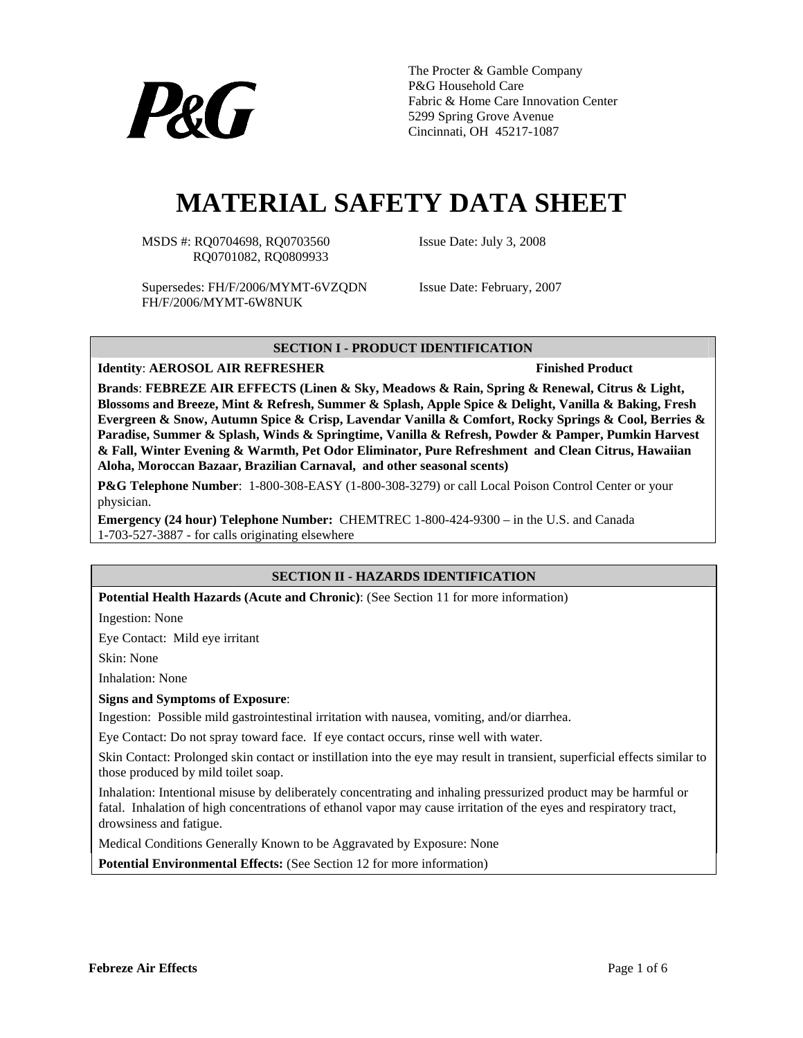

The Procter & Gamble Company P&G Household Care Fabric & Home Care Innovation Center 5299 Spring Grove Avenue Cincinnati, OH 45217-1087

# **MATERIAL SAFETY DATA SHEET**

MSDS #: RQ0704698, RQ0703560 Issue Date: July 3, 2008 RQ0701082, RQ0809933

Supersedes: FH/F/2006/MYMT-6VZQDN Issue Date: February, 2007 FH/F/2006/MYMT-6W8NUK

## **SECTION I - PRODUCT IDENTIFICATION**

**Identity:** AEROSOL AIR REFRESHER FINISHED Finished Product

**Brands**: **FEBREZE AIR EFFECTS (Linen & Sky, Meadows & Rain, Spring & Renewal, Citrus & Light, Blossoms and Breeze, Mint & Refresh, Summer & Splash, Apple Spice & Delight, Vanilla & Baking, Fresh Evergreen & Snow, Autumn Spice & Crisp, Lavendar Vanilla & Comfort, Rocky Springs & Cool, Berries & Paradise, Summer & Splash, Winds & Springtime, Vanilla & Refresh, Powder & Pamper, Pumkin Harvest & Fall, Winter Evening & Warmth, Pet Odor Eliminator, Pure Refreshment and Clean Citrus, Hawaiian Aloha, Moroccan Bazaar, Brazilian Carnaval, and other seasonal scents)**

**P&G Telephone Number**: 1-800-308-EASY (1-800-308-3279) or call Local Poison Control Center or your physician.

**Emergency (24 hour) Telephone Number:** CHEMTREC 1-800-424-9300 – in the U.S. and Canada 1-703-527-3887 - for calls originating elsewhere

# **SECTION II - HAZARDS IDENTIFICATION**

**Potential Health Hazards (Acute and Chronic)**: (See Section 11 for more information)

Ingestion: None

Eye Contact: Mild eye irritant

Skin: None

Inhalation: None

**Signs and Symptoms of Exposure**:

Ingestion: Possible mild gastrointestinal irritation with nausea, vomiting, and/or diarrhea.

Eye Contact: Do not spray toward face. If eye contact occurs, rinse well with water.

Skin Contact: Prolonged skin contact or instillation into the eye may result in transient, superficial effects similar to those produced by mild toilet soap.

Inhalation: Intentional misuse by deliberately concentrating and inhaling pressurized product may be harmful or fatal. Inhalation of high concentrations of ethanol vapor may cause irritation of the eyes and respiratory tract, drowsiness and fatigue.

Medical Conditions Generally Known to be Aggravated by Exposure: None

**Potential Environmental Effects:** (See Section 12 for more information)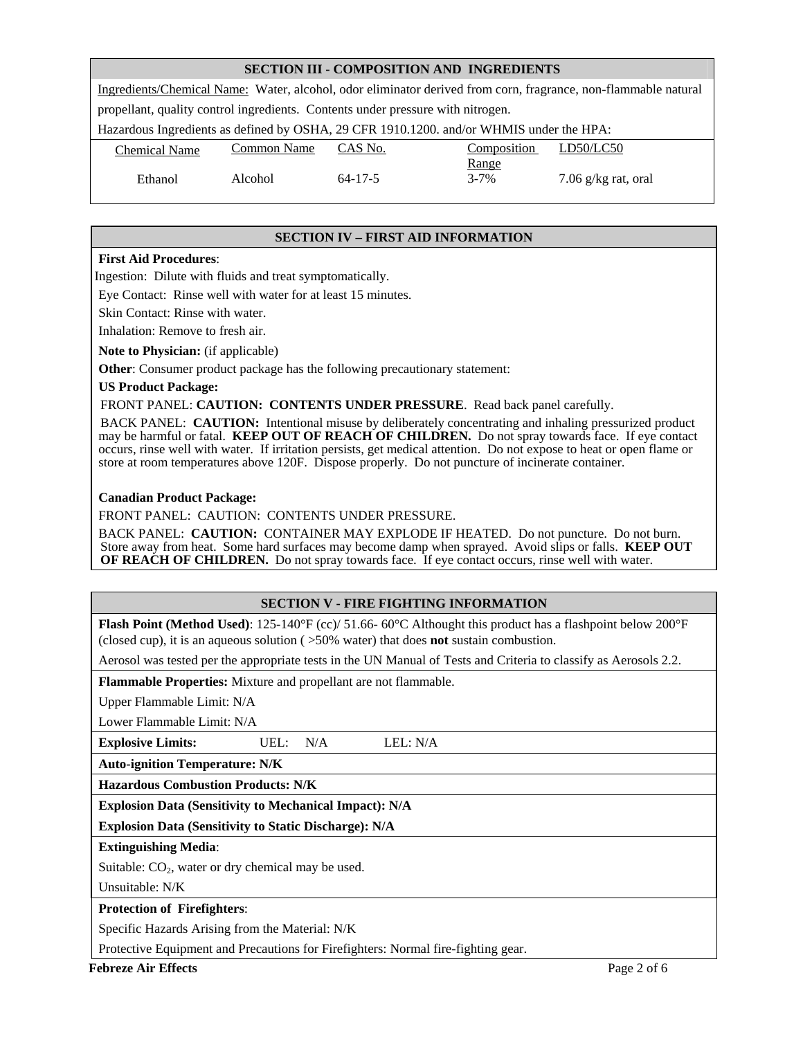#### **SECTION III - COMPOSITION AND INGREDIENTS**

| Ingredients/Chemical Name: Water, alcohol, odor eliminator derived from corn, fragrance, non-flammable natural |                    |               |                          |                       |  |
|----------------------------------------------------------------------------------------------------------------|--------------------|---------------|--------------------------|-----------------------|--|
| propellant, quality control ingredients. Contents under pressure with nitrogen.                                |                    |               |                          |                       |  |
| Hazardous Ingredients as defined by OSHA, 29 CFR 1910.1200. and/or WHMIS under the HPA:                        |                    |               |                          |                       |  |
| <b>Chemical Name</b>                                                                                           | <b>Common Name</b> | CAS No.       | Composition              | LD50/LC50             |  |
| Ethanol                                                                                                        | Alcohol            | $64 - 17 - 5$ | <u>Range</u><br>$3 - 7%$ | 7.06 $g/kg$ rat, oral |  |
|                                                                                                                |                    |               |                          |                       |  |

#### **SECTION IV – FIRST AID INFORMATION**

#### **First Aid Procedures**:

Ingestion: Dilute with fluids and treat symptomatically.

Eye Contact: Rinse well with water for at least 15 minutes.

Skin Contact: Rinse with water.

Inhalation: Remove to fresh air.

**Note to Physician:** (if applicable)

**Other**: Consumer product package has the following precautionary statement:

**US Product Package:** 

FRONT PANEL: **CAUTION: CONTENTS UNDER PRESSURE**. Read back panel carefully.

BACK PANEL: **CAUTION:** Intentional misuse by deliberately concentrating and inhaling pressurized product may be harmful or fatal. **KEEP OUT OF REACH OF CHILDREN.** Do not spray towards face. If eye contact occurs, rinse well with water. If irritation persists, get medical attention. Do not expose to heat or open flame or store at room temperatures above 120F. Dispose properly. Do not puncture of incinerate container.

#### **Canadian Product Package:**

FRONT PANEL: CAUTION: CONTENTS UNDER PRESSURE.

BACK PANEL: **CAUTION:** CONTAINER MAY EXPLODE IF HEATED. Do not puncture. Do not burn. Store away from heat. Some hard surfaces may become damp when sprayed. Avoid slips or falls. **KEEP OUT OF REACH OF CHILDREN.** Do not spray towards face. If eye contact occurs, rinse well with water.

#### **SECTION V - FIRE FIGHTING INFORMATION**

**Flash Point (Method Used)**: 125-140°F (cc)/ 51.66- 60°C Althought this product has a flashpoint below 200°F (closed cup), it is an aqueous solution ( >50% water) that does **not** sustain combustion.

Aerosol was tested per the appropriate tests in the UN Manual of Tests and Criteria to classify as Aerosols 2.2.

**Flammable Properties:** Mixture and propellant are not flammable.

Upper Flammable Limit: N/A

Lower Flammable Limit: N/A

**Explosive Limits:** UEL: N/A LEL: N/A

**Auto-ignition Temperature: N/K** 

**Hazardous Combustion Products: N/K** 

**Explosion Data (Sensitivity to Mechanical Impact): N/A** 

**Explosion Data (Sensitivity to Static Discharge): N/A** 

#### **Extinguishing Media**:

Suitable:  $CO<sub>2</sub>$ , water or dry chemical may be used.

Unsuitable: N/K

#### **Protection of Firefighters**:

Specific Hazards Arising from the Material: N/K

Protective Equipment and Precautions for Firefighters: Normal fire-fighting gear.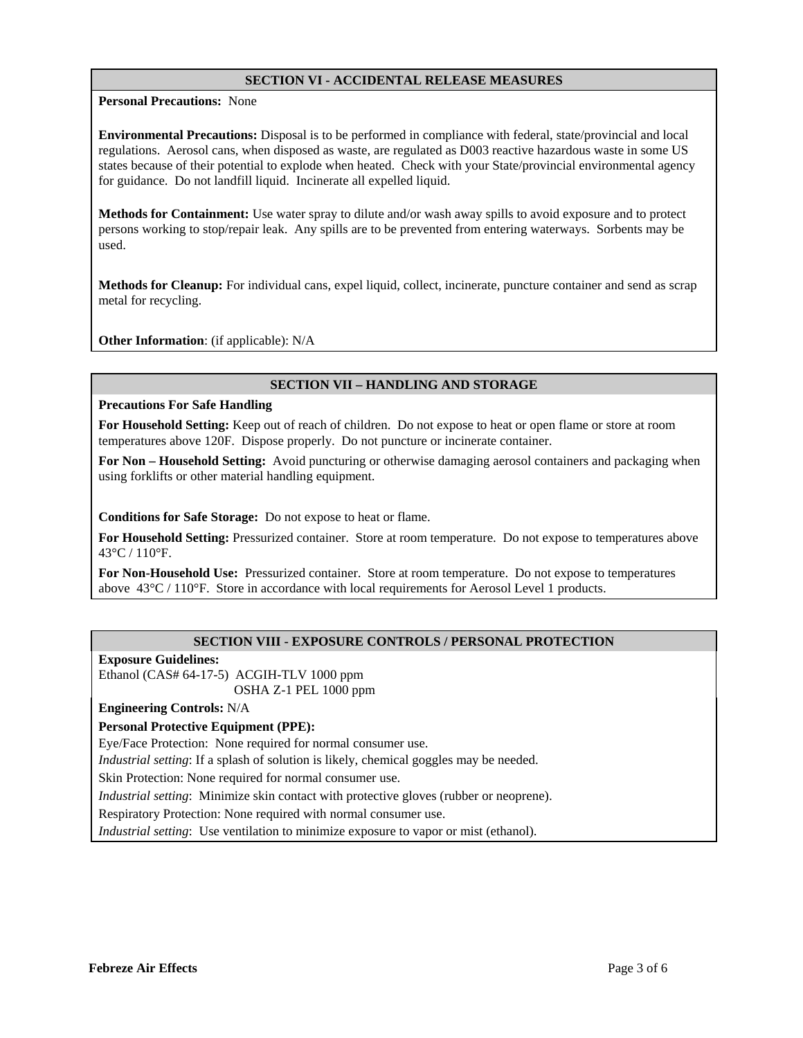#### **SECTION VI - ACCIDENTAL RELEASE MEASURES**

**Personal Precautions:** None

**Environmental Precautions:** Disposal is to be performed in compliance with federal, state/provincial and local regulations. Aerosol cans, when disposed as waste, are regulated as D003 reactive hazardous waste in some US states because of their potential to explode when heated. Check with your State/provincial environmental agency for guidance. Do not landfill liquid. Incinerate all expelled liquid.

**Methods for Containment:** Use water spray to dilute and/or wash away spills to avoid exposure and to protect persons working to stop/repair leak. Any spills are to be prevented from entering waterways. Sorbents may be used.

**Methods for Cleanup:** For individual cans, expel liquid, collect, incinerate, puncture container and send as scrap metal for recycling.

**Other Information**: (if applicable): N/A

## **SECTION VII – HANDLING AND STORAGE**

#### **Precautions For Safe Handling**

**For Household Setting:** Keep out of reach of children.Do not expose to heat or open flame or store at room temperatures above 120F. Dispose properly. Do not puncture or incinerate container.

**For Non – Household Setting:** Avoid puncturing or otherwise damaging aerosol containers and packaging when using forklifts or other material handling equipment.

**Conditions for Safe Storage:** Do not expose to heat or flame.

**For Household Setting:** Pressurized container. Store at room temperature. Do not expose to temperatures above 43°C / 110°F.

**For Non-Household Use:** Pressurized container. Store at room temperature. Do not expose to temperatures above 43°C / 110°F. Store in accordance with local requirements for Aerosol Level 1 products.

## **SECTION VIII - EXPOSURE CONTROLS / PERSONAL PROTECTION**

**Exposure Guidelines:** 

Ethanol (CAS# 64-17-5) ACGIH-TLV 1000 ppm OSHA Z-1 PEL 1000 ppm

**Engineering Controls:** N/A

#### **Personal Protective Equipment (PPE):**

Eye/Face Protection: None required for normal consumer use.

*Industrial setting*: If a splash of solution is likely, chemical goggles may be needed.

Skin Protection: None required for normal consumer use.

*Industrial setting*: Minimize skin contact with protective gloves (rubber or neoprene).

Respiratory Protection: None required with normal consumer use.

*Industrial setting*: Use ventilation to minimize exposure to vapor or mist (ethanol).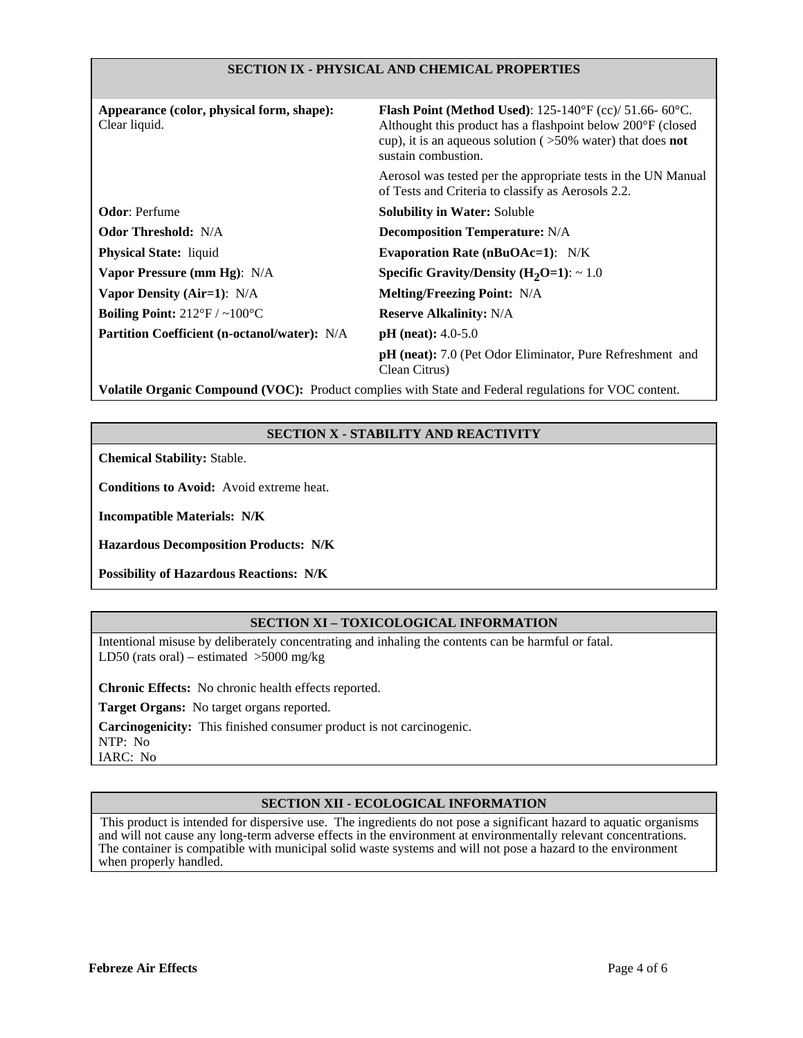#### **SECTION IX - PHYSICAL AND CHEMICAL PROPERTIES**

| Appearance (color, physical form, shape):<br>Clear liquid. | <b>Flash Point (Method Used):</b> 125-140°F (cc)/ 51.66-60°C.<br>Althought this product has a flashpoint below 200°F (closed<br>cup), it is an aqueous solution ( $>50\%$ water) that does <b>not</b><br>sustain combustion. |
|------------------------------------------------------------|------------------------------------------------------------------------------------------------------------------------------------------------------------------------------------------------------------------------------|
|                                                            | Aerosol was tested per the appropriate tests in the UN Manual<br>of Tests and Criteria to classify as Aerosols 2.2.                                                                                                          |
| <b>Odor:</b> Perfume                                       | <b>Solubility in Water: Soluble</b>                                                                                                                                                                                          |
| <b>Odor Threshold:</b> N/A                                 | <b>Decomposition Temperature: N/A</b>                                                                                                                                                                                        |
| <b>Physical State:</b> liquid                              | Evaporation Rate ( $nBuOAc=1$ ): N/K                                                                                                                                                                                         |
| Vapor Pressure (mm Hg): N/A                                | Specific Gravity/Density $(H_2O=1): \sim 1.0$                                                                                                                                                                                |
| Vapor Density (Air=1): N/A                                 | <b>Melting/Freezing Point:</b> N/A                                                                                                                                                                                           |
| Boiling Point: $212^{\circ}F / \sim 100^{\circ}C$          | <b>Reserve Alkalinity: N/A</b>                                                                                                                                                                                               |
| Partition Coefficient (n-octanol/water): N/A               | $pH$ (neat): 4.0-5.0                                                                                                                                                                                                         |
|                                                            | <b>pH</b> (neat): 7.0 (Pet Odor Eliminator, Pure Refreshment and<br>Clean Citrus)                                                                                                                                            |

**Volatile Organic Compound (VOC):** Product complies with State and Federal regulations for VOC content.

## **SECTION X - STABILITY AND REACTIVITY**

**Chemical Stability:** Stable.

**Conditions to Avoid:** Avoid extreme heat.

**Incompatible Materials: N/K**

**Hazardous Decomposition Products: N/K**

**Possibility of Hazardous Reactions: N/K**

# **SECTION XI – TOXICOLOGICAL INFORMATION**

Intentional misuse by deliberately concentrating and inhaling the contents can be harmful or fatal. LD50 (rats oral) – estimated  $>5000$  mg/kg

**Chronic Effects:** No chronic health effects reported.

**Target Organs:** No target organs reported.

**Carcinogenicity:** This finished consumer product is not carcinogenic.

NTP: No

IARC: No

# **SECTION XII - ECOLOGICAL INFORMATION**

This product is intended for dispersive use. The ingredients do not pose a significant hazard to aquatic organisms and will not cause any long-term adverse effects in the environment at environmentally relevant concentrations. The container is compatible with municipal solid waste systems and will not pose a hazard to the environment when properly handled.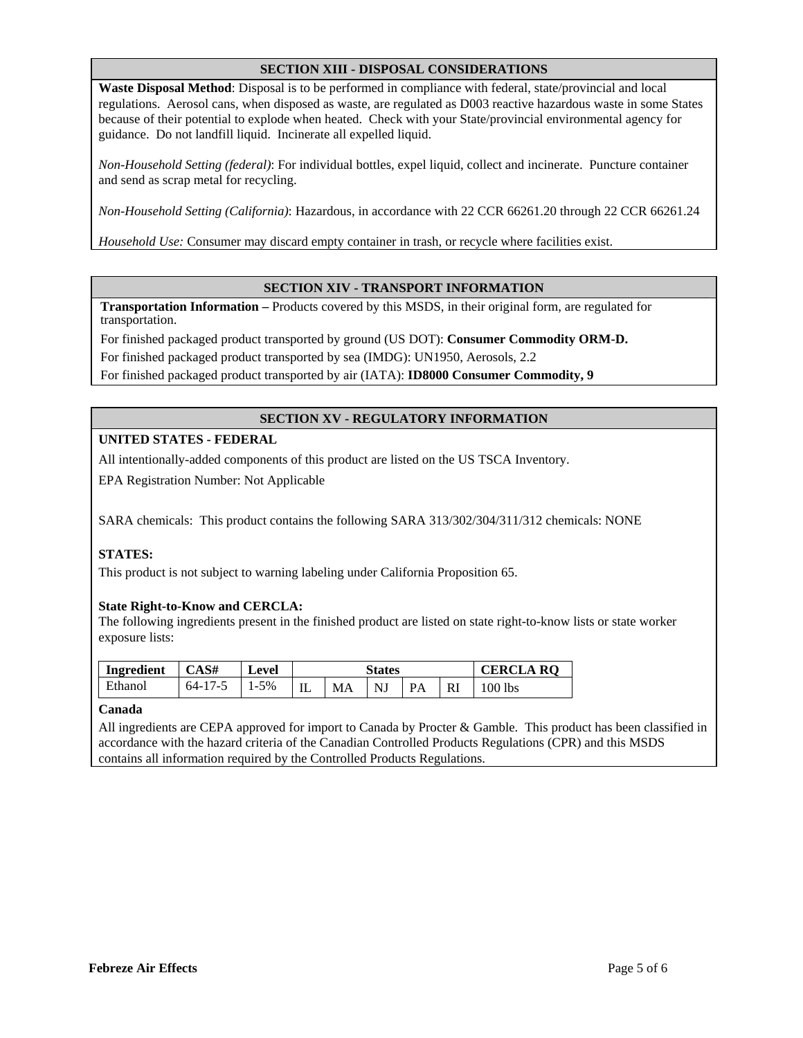## **SECTION XIII - DISPOSAL CONSIDERATIONS**

**Waste Disposal Method**: Disposal is to be performed in compliance with federal, state/provincial and local regulations. Aerosol cans, when disposed as waste, are regulated as D003 reactive hazardous waste in some States because of their potential to explode when heated. Check with your State/provincial environmental agency for guidance. Do not landfill liquid. Incinerate all expelled liquid.

*Non-Household Setting (federal)*: For individual bottles, expel liquid, collect and incinerate. Puncture container and send as scrap metal for recycling.

*Non-Household Setting (California)*: Hazardous, in accordance with 22 CCR 66261.20 through 22 CCR 66261.24

*Household Use:* Consumer may discard empty container in trash, or recycle where facilities exist.

## **SECTION XIV - TRANSPORT INFORMATION**

**Transportation Information –** Products covered by this MSDS, in their original form, are regulated for transportation.

For finished packaged product transported by ground (US DOT): **Consumer Commodity ORM-D.**  For finished packaged product transported by sea (IMDG): UN1950, Aerosols, 2.2 For finished packaged product transported by air (IATA): **ID8000 Consumer Commodity, 9** 

# **SECTION XV - REGULATORY INFORMATION**

## **UNITED STATES - FEDERAL**

All intentionally-added components of this product are listed on the US TSCA Inventory.

EPA Registration Number: Not Applicable

SARA chemicals: This product contains the following SARA 313/302/304/311/312 chemicals: NONE

# **STATES:**

This product is not subject to warning labeling under California Proposition 65.

#### **State Right-to-Know and CERCLA:**

The following ingredients present in the finished product are listed on state right-to-know lists or state worker exposure lists:

| Ingredient | CAS#          | Level | States |    |    | <b>CERCLA RO</b>      |   |         |
|------------|---------------|-------|--------|----|----|-----------------------|---|---------|
| Ethanol    | $64 - 17 - 5$ | 1-5%  | IL     | MA | NJ | $\mathbf{p}_{\Delta}$ | w | 100 lbs |

#### **Canada**

All ingredients are CEPA approved for import to Canada by Procter & Gamble. This product has been classified in accordance with the hazard criteria of the Canadian Controlled Products Regulations (CPR) and this MSDS contains all information required by the Controlled Products Regulations.